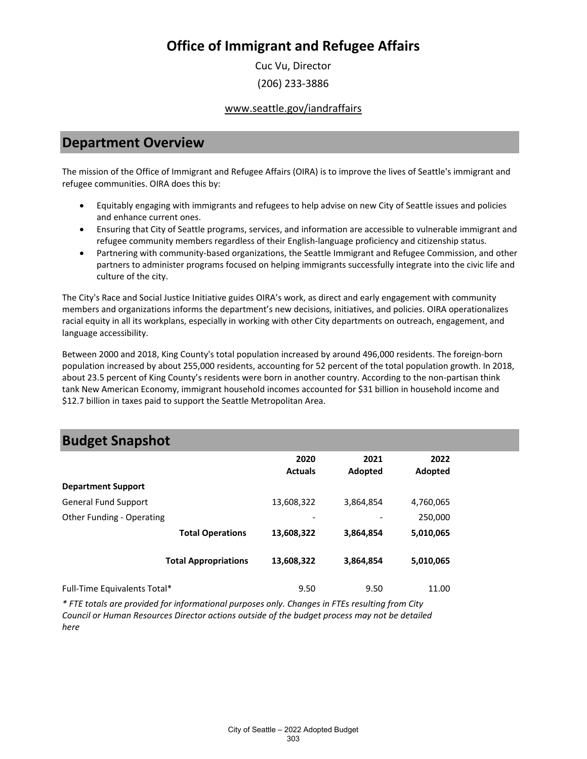Cuc Vu, Director (206) 233-3886

www.seattle.gov/iandraffairs

### **Department Overview**

The mission of the Office of Immigrant and Refugee Affairs (OIRA) is to improve the lives of Seattle's immigrant and refugee communities. OIRA does this by:

- Equitably engaging with immigrants and refugees to help advise on new City of Seattle issues and policies and enhance current ones.
- Ensuring that City of Seattle programs, services, and information are accessible to vulnerable immigrant and refugee community members regardless of their English-language proficiency and citizenship status.
- Partnering with community-based organizations, the Seattle Immigrant and Refugee Commission, and other partners to administer programs focused on helping immigrants successfully integrate into the civic life and culture of the city.

The City's Race and Social Justice Initiative guides OIRA's work, as direct and early engagement with community members and organizations informs the department's new decisions, initiatives, and policies. OIRA operationalizes racial equity in all its workplans, especially in working with other City departments on outreach, engagement, and language accessibility.

Between 2000 and 2018, King County's total population increased by around 496,000 residents. The foreign-born population increased by about 255,000 residents, accounting for 52 percent of the total population growth. In 2018, about 23.5 percent of King County's residents were born in another country. According to the non-partisan think tank New American Economy, immigrant household incomes accounted for \$31 billion in household income and \$12.7 billion in taxes paid to support the Seattle Metropolitan Area.

### **Budget Snapshot**

|                              | 2020<br><b>Actuals</b>   | 2021<br>Adopted | 2022<br>Adopted |
|------------------------------|--------------------------|-----------------|-----------------|
| <b>Department Support</b>    |                          |                 |                 |
| <b>General Fund Support</b>  | 13,608,322               | 3,864,854       | 4,760,065       |
| Other Funding - Operating    | $\overline{\phantom{a}}$ |                 | 250,000         |
| <b>Total Operations</b>      | 13,608,322               | 3,864,854       | 5,010,065       |
| <b>Total Appropriations</b>  | 13,608,322               | 3,864,854       | 5,010,065       |
| Full-Time Equivalents Total* | 9.50                     | 9.50            | 11.00           |

*\* FTE totals are provided for informational purposes only. Changes in FTEs resulting from City Council or Human Resources Director actions outside of the budget process may not be detailed here*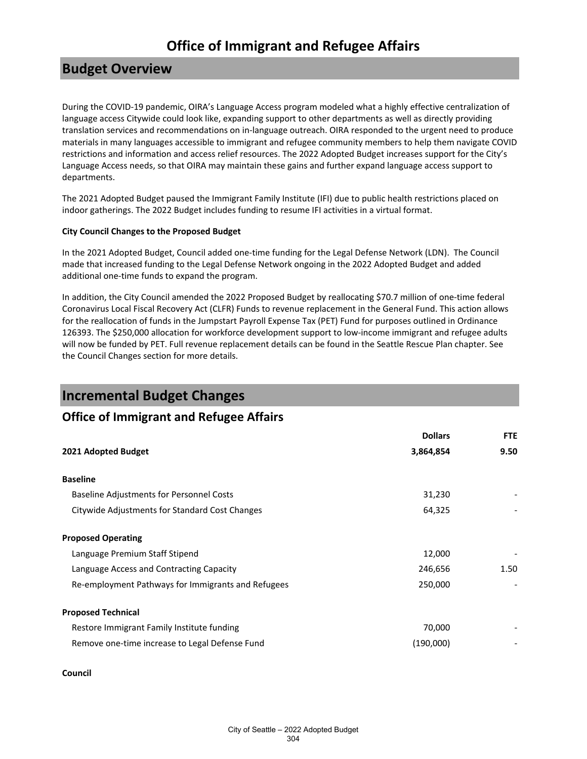### **Budget Overview**

During the COVID-19 pandemic, OIRA's Language Access program modeled what a highly effective centralization of language access Citywide could look like, expanding support to other departments as well as directly providing translation services and recommendations on in-language outreach. OIRA responded to the urgent need to produce materials in many languages accessible to immigrant and refugee community members to help them navigate COVID restrictions and information and access relief resources. The 2022 Adopted Budget increases support for the City's Language Access needs, so that OIRA may maintain these gains and further expand language access support to departments.

The 2021 Adopted Budget paused the Immigrant Family Institute (IFI) due to public health restrictions placed on indoor gatherings. The 2022 Budget includes funding to resume IFI activities in a virtual format.

#### **City Council Changes to the Proposed Budget**

In the 2021 Adopted Budget, Council added one-time funding for the Legal Defense Network (LDN). The Council made that increased funding to the Legal Defense Network ongoing in the 2022 Adopted Budget and added additional one-time funds to expand the program.

In addition, the City Council amended the 2022 Proposed Budget by reallocating \$70.7 million of one-time federal Coronavirus Local Fiscal Recovery Act (CLFR) Funds to revenue replacement in the General Fund. This action allows for the reallocation of funds in the Jumpstart Payroll Expense Tax (PET) Fund for purposes outlined in Ordinance 126393. The \$250,000 allocation for workforce development support to low-income immigrant and refugee adults will now be funded by PET. Full revenue replacement details can be found in the Seattle Rescue Plan chapter. See the Council Changes section for more details.

### **Incremental Budget Changes**

### **Office of Immigrant and Refugee Affairs**

|                                                    | <b>Dollars</b> | <b>FTE</b> |
|----------------------------------------------------|----------------|------------|
| 2021 Adopted Budget                                | 3,864,854      | 9.50       |
| <b>Baseline</b>                                    |                |            |
| <b>Baseline Adjustments for Personnel Costs</b>    | 31,230         |            |
| Citywide Adjustments for Standard Cost Changes     | 64,325         |            |
| <b>Proposed Operating</b>                          |                |            |
| Language Premium Staff Stipend                     | 12,000         |            |
| Language Access and Contracting Capacity           | 246,656        | 1.50       |
| Re-employment Pathways for Immigrants and Refugees | 250,000        |            |
| <b>Proposed Technical</b>                          |                |            |
| Restore Immigrant Family Institute funding         | 70,000         |            |
| Remove one-time increase to Legal Defense Fund     | (190,000)      |            |

#### **Council**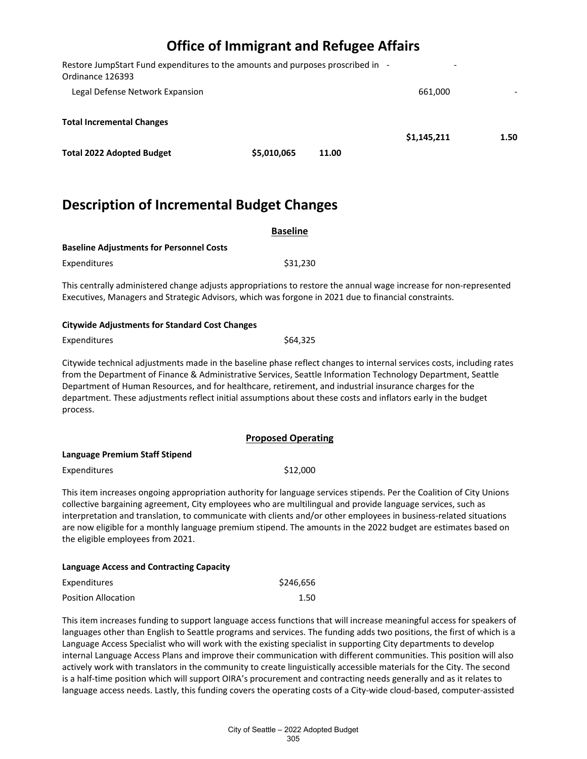| Restore JumpStart Fund expenditures to the amounts and purposes proscribed in -<br>Ordinance 126393 |             |       | $\overline{\phantom{0}}$ |      |
|-----------------------------------------------------------------------------------------------------|-------------|-------|--------------------------|------|
| Legal Defense Network Expansion                                                                     |             |       | 661.000                  |      |
| <b>Total Incremental Changes</b>                                                                    |             |       | \$1,145,211              | 1.50 |
| <b>Total 2022 Adopted Budget</b>                                                                    | \$5,010,065 | 11.00 |                          |      |

## **Description of Incremental Budget Changes**

|                                                 | <b>Baseline</b>                                                                                                                                                                                                           |  |
|-------------------------------------------------|---------------------------------------------------------------------------------------------------------------------------------------------------------------------------------------------------------------------------|--|
| <b>Baseline Adjustments for Personnel Costs</b> |                                                                                                                                                                                                                           |  |
| Expenditures                                    | \$31,230                                                                                                                                                                                                                  |  |
|                                                 | This centrally administered change adjusts appropriations to restore the annual wage increase for non-represented<br>Executives, Managers and Strategic Advisors, which was forgone in 2021 due to financial constraints. |  |
| Citywido Adjustments for Standard Cost Changes  |                                                                                                                                                                                                                           |  |

### **Citywide Adjustments for Standard Cost Changes**

| Expenditures | \$64,325 |
|--------------|----------|
|--------------|----------|

Citywide technical adjustments made in the baseline phase reflect changes to internal services costs, including rates from the Department of Finance & Administrative Services, Seattle Information Technology Department, Seattle Department of Human Resources, and for healthcare, retirement, and industrial insurance charges for the department. These adjustments reflect initial assumptions about these costs and inflators early in the budget process.

#### **Proposed Operating**

| Language Premium Staff Stipend |          |
|--------------------------------|----------|
| Expenditures                   | \$12,000 |

This item increases ongoing appropriation authority for language services stipends. Per the Coalition of City Unions collective bargaining agreement, City employees who are multilingual and provide language services, such as interpretation and translation, to communicate with clients and/or other employees in business-related situations are now eligible for a monthly language premium stipend. The amounts in the 2022 budget are estimates based on the eligible employees from 2021.

#### **Language Access and Contracting Capacity**

| Expenditures        | \$246,656 |
|---------------------|-----------|
| Position Allocation | 1.50      |

This item increases funding to support language access functions that will increase meaningful access for speakers of languages other than English to Seattle programs and services. The funding adds two positions, the first of which is a Language Access Specialist who will work with the existing specialist in supporting City departments to develop internal Language Access Plans and improve their communication with different communities. This position will also actively work with translators in the community to create linguistically accessible materials for the City. The second is a half-time position which will support OIRA's procurement and contracting needs generally and as it relates to language access needs. Lastly, this funding covers the operating costs of a City-wide cloud-based, computer-assisted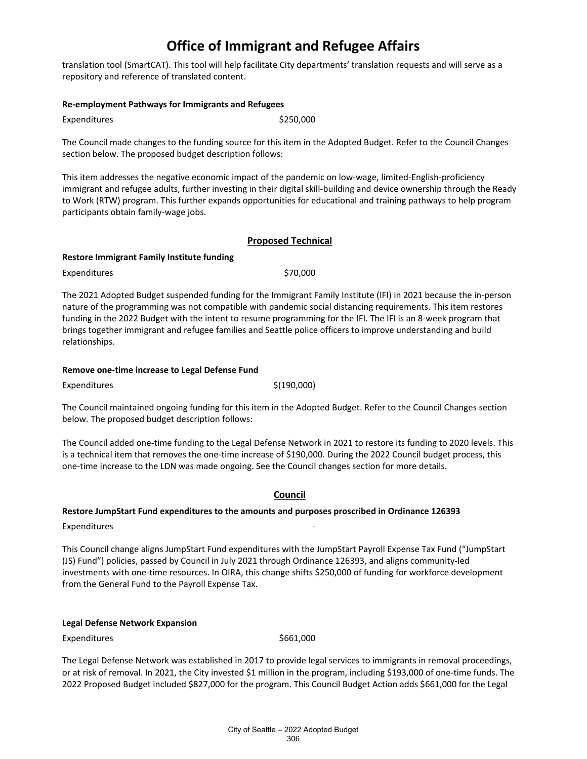translation tool (SmartCAT). This tool will help facilitate City departments' translation requests and will serve as a repository and reference of translated content.

#### **Re-employment Pathways for Immigrants and Refugees**

Expenditures \$250,000

The Council made changes to the funding source for this item in the Adopted Budget. Refer to the Council Changes section below. The proposed budget description follows:

This item addresses the negative economic impact of the pandemic on low-wage, limited-English-proficiency immigrant and refugee adults, further investing in their digital skill-building and device ownership through the Ready to Work (RTW) program. This further expands opportunities for educational and training pathways to help program participants obtain family-wage jobs.

#### **Proposed Technical**

#### **Restore Immigrant Family Institute funding**

Expenditures \$70,000

The 2021 Adopted Budget suspended funding for the Immigrant Family Institute (IFI) in 2021 because the in-person nature of the programming was not compatible with pandemic social distancing requirements. This item restores funding in the 2022 Budget with the intent to resume programming for the IFI. The IFI is an 8-week program that brings together immigrant and refugee families and Seattle police officers to improve understanding and build relationships.

#### **Remove one-time increase to Legal Defense Fund**

 $Expenditures$   $\zeta(190,000)$ 

The Council maintained ongoing funding for this item in the Adopted Budget. Refer to the Council Changes section below. The proposed budget description follows:

The Council added one-time funding to the Legal Defense Network in 2021 to restore its funding to 2020 levels. This is a technical item that removes the one-time increase of \$190,000. During the 2022 Council budget process, this one-time increase to the LDN was made ongoing. See the Council changes section for more details.

#### **Council**

#### **Restore JumpStart Fund expenditures to the amounts and purposes proscribed in Ordinance 126393**

Expenditures

This Council change aligns JumpStart Fund expenditures with the JumpStart Payroll Expense Tax Fund ("JumpStart (JS) Fund") policies, passed by Council in July 2021 through Ordinance 126393, and aligns community-led investments with one-time resources. In OIRA, this change shifts \$250,000 of funding for workforce development from the General Fund to the Payroll Expense Tax.

#### **Legal Defense Network Expansion**

Expenditures \$661,000

The Legal Defense Network was established in 2017 to provide legal services to immigrants in removal proceedings, or at risk of removal. In 2021, the City invested \$1 million in the program, including \$193,000 of one-time funds. The 2022 Proposed Budget included \$827,000 for the program. This Council Budget Action adds \$661,000 for the Legal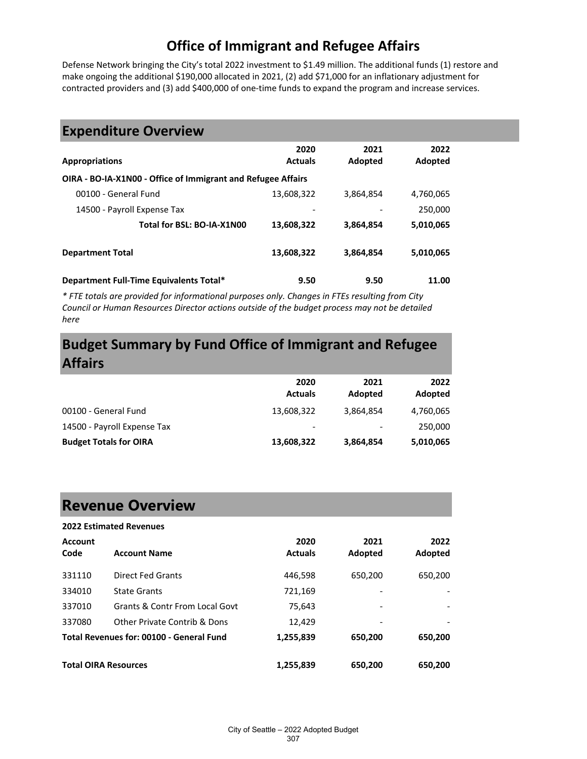Defense Network bringing the City's total 2022 investment to \$1.49 million. The additional funds (1) restore and make ongoing the additional \$190,000 allocated in 2021, (2) add \$71,000 for an inflationary adjustment for contracted providers and (3) add \$400,000 of one-time funds to expand the program and increase services.

### **Expenditure Overview**

|                                                              | 2020           | 2021      | 2022      |
|--------------------------------------------------------------|----------------|-----------|-----------|
| <b>Appropriations</b>                                        | <b>Actuals</b> | Adopted   | Adopted   |
| OIRA - BO-IA-X1N00 - Office of Immigrant and Refugee Affairs |                |           |           |
| 00100 - General Fund                                         | 13,608,322     | 3,864,854 | 4,760,065 |
| 14500 - Payroll Expense Tax                                  |                |           | 250,000   |
| Total for BSL: BO-IA-X1N00                                   | 13,608,322     | 3,864,854 | 5,010,065 |
| <b>Department Total</b>                                      | 13,608,322     | 3,864,854 | 5,010,065 |
| Department Full-Time Equivalents Total*                      | 9.50           | 9.50      | 11.00     |

*\* FTE totals are provided for informational purposes only. Changes in FTEs resulting from City Council or Human Resources Director actions outside of the budget process may not be detailed here*

### **Budget Summary by Fund Office of Immigrant and Refugee Affairs**

|                               | 2020<br><b>Actuals</b>       | 2021<br>Adopted | 2022<br>Adopted |
|-------------------------------|------------------------------|-----------------|-----------------|
| 00100 - General Fund          | 13,608,322                   | 3,864,854       | 4,760,065       |
| 14500 - Payroll Expense Tax   | $\qquad \qquad \blacksquare$ |                 | 250,000         |
| <b>Budget Totals for OIRA</b> | 13,608,322                   | 3,864,854       | 5,010,065       |

# **Revenue Overview**

#### **2022 Estimated Revenues**

| <b>Account</b><br>Code      | <b>Account Name</b>                      | 2020<br><b>Actuals</b> | 2021<br>Adopted | 2022<br>Adopted |
|-----------------------------|------------------------------------------|------------------------|-----------------|-----------------|
| 331110                      | <b>Direct Fed Grants</b>                 | 446,598                | 650,200         | 650,200         |
| 334010                      | <b>State Grants</b>                      | 721,169                |                 |                 |
| 337010                      | Grants & Contr From Local Govt           | 75,643                 |                 |                 |
| 337080                      | Other Private Contrib & Dons             | 12,429                 |                 |                 |
|                             | Total Revenues for: 00100 - General Fund | 1,255,839              | 650,200         | 650,200         |
| <b>Total OIRA Resources</b> |                                          | 1,255,839              | 650,200         | 650,200         |